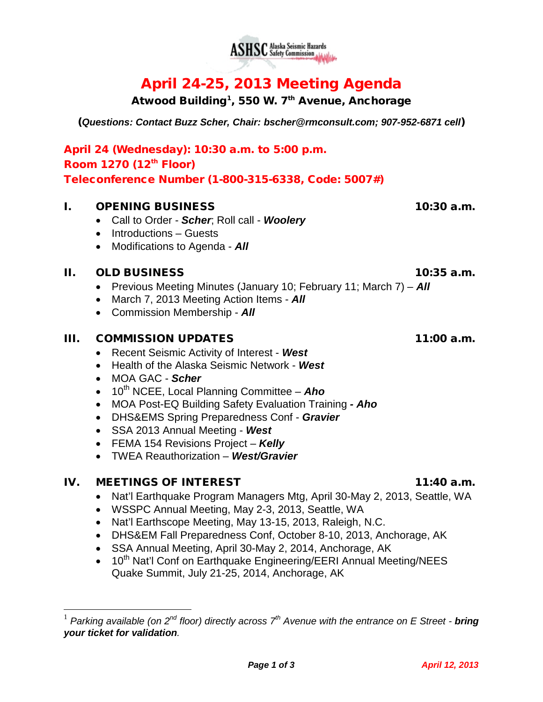

# April 24-25, 2013 Meeting Agenda

**ASHSC** Alaska Seismic Hazards

Atwood Building<sup>[1](#page-0-0)</sup>, 550 W. 7<sup>th</sup> Avenue, Anchorage

(*Questions: Contact Buzz Scher, Chair: [bscher@rmconsult.com;](mailto:bscher@rmconsult.com) 907-952-6871 cell*)

April 24 (Wednesday): 10:30 a.m. to 5:00 p.m. Room  $1270$  ( $12<sup>th</sup>$  Floor) Teleconference Number (1-800-315-6338, Code: 5007#)

### I. OPENING BUSINESS 10:30 a.m.

- Call to Order *Scher*; Roll call *Woolery*
- Introductions Guests
- Modifications to Agenda *All*

#### II. OLD BUSINESS 10:35 a.m.

- Previous Meeting Minutes (January 10; February 11; March 7) *All*
- March 7, 2013 Meeting Action Items *All*
- Commission Membership *All*

#### III. COMMISSION UPDATES 11:00 a.m.

- Recent Seismic Activity of Interest *West*
- Health of the Alaska Seismic Network *West*
- MOA GAC *Scher*
- 10<sup>th</sup> NCEE, Local Planning Committee **Aho**
- MOA Post-EQ Building Safety Evaluation Training *- Aho*
- DHS&EMS Spring Preparedness Conf *Gravier*
- SSA 2013 Annual Meeting *West*
- FEMA 154 Revisions Project *Kelly*
- TWEA Reauthorization *West/Gravier*

## IV. MEETINGS OF INTEREST 11:40 a.m.

- Nat'l Earthquake Program Managers Mtg, April 30-May 2, 2013, Seattle, WA
- WSSPC Annual Meeting, May 2-3, 2013, Seattle, WA
- Nat'l Earthscope Meeting, May 13-15, 2013, Raleigh, N.C.
- DHS&EM Fall Preparedness Conf, October 8-10, 2013, Anchorage, AK
- SSA Annual Meeting, April 30-May 2, 2014, Anchorage, AK
- 10<sup>th</sup> Nat'l Conf on Earthquake Engineering/EERI Annual Meeting/NEES Quake Summit, July 21-25, 2014, Anchorage, AK

<span id="page-0-0"></span> <sup>1</sup> *Parking available (on 2nd floor) directly across 7th Avenue with the entrance on E Street - bring your ticket for validation.*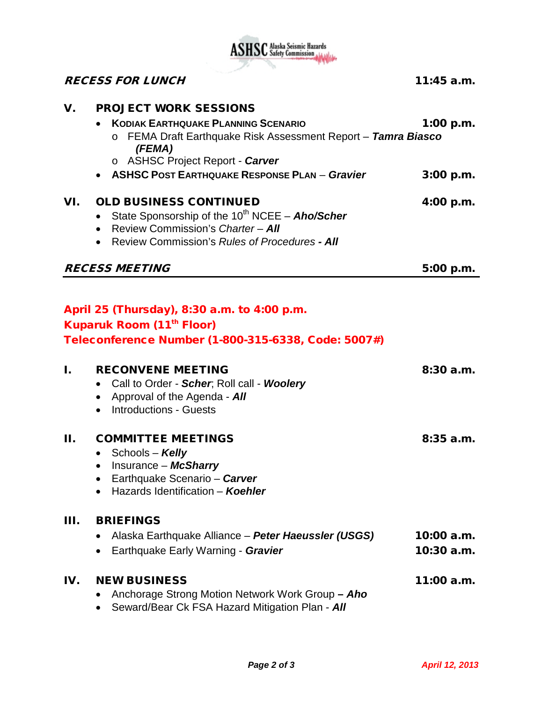

|                       | <b>RECESS FOR LUNCH</b>                                                                                                                                                                                | $11:45$ a.m.                 |
|-----------------------|--------------------------------------------------------------------------------------------------------------------------------------------------------------------------------------------------------|------------------------------|
|                       |                                                                                                                                                                                                        |                              |
| V.                    | <b>PROJECT WORK SESSIONS</b><br><b>KODIAK EARTHQUAKE PLANNING SCENARIO</b><br>FEMA Draft Earthquake Risk Assessment Report - Tamra Biasco<br>(FEMA)<br>o ASHSC Project Report - Carver                 | $1:00$ p.m.                  |
|                       | • ASHSC POST EARTHQUAKE RESPONSE PLAN - Gravier                                                                                                                                                        | 3:00 p.m.                    |
| VI.                   | <b>OLD BUSINESS CONTINUED</b><br>State Sponsorship of the $10^{th}$ NCEE - Aho/Scher<br>$\bullet$<br>• Review Commission's Charter - All<br>Review Commission's Rules of Procedures - All<br>$\bullet$ | 4:00 p.m.                    |
| <b>RECESS MEETING</b> |                                                                                                                                                                                                        | 5:00 p.m.                    |
|                       | April 25 (Thursday), 8:30 a.m. to 4:00 p.m.<br><b>Kuparuk Room (11th Floor)</b><br>Teleconference Number (1-800-315-6338, Code: 5007#)                                                                 |                              |
| I.                    | <b>RECONVENE MEETING</b><br>Call to Order - Scher, Roll call - Woolery<br>• Approval of the Agenda - $\mathbf{A}\mathbf{II}$<br>• Introductions - Guests                                               | 8:30a.m.                     |
| Н.                    | <b>COMMITTEE MEETINGS</b><br>• Schools – Kelly<br>Insurance - McSharry<br>Earthquake Scenario - Carver<br>Hazards Identification - Koehler                                                             | 8:35a.m.                     |
| Ш.                    | <b>BRIEFINGS</b><br>Alaska Earthquake Alliance – Peter Haeussler (USGS)<br>Earthquake Early Warning - Gravier                                                                                          | $10:00$ a.m.<br>$10:30$ a.m. |
| IV.                   | <b>NEW BUSINESS</b><br>Anchorage Strong Motion Network Work Group - Aho<br>Seward/Bear Ck FSA Hazard Mitigation Plan - All                                                                             | 11:00 a.m.                   |